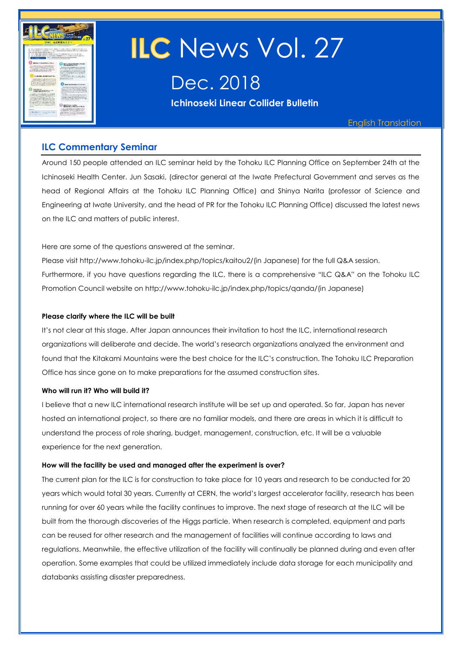

# **ILC** News Vol. 27

Dec. 2018

**Ichinoseki Linear Collider Bulletin** 

English Translation

#### **ILC Commentary Seminar**

Around 150 people attended an ILC seminar held by the Tohoku ILC Planning Office on September 24th at the Ichinoseki Health Center. Jun Sasaki, (director general at the Iwate Prefectural Government and serves as the head of Regional Affairs at the Tohoku ILC Planning Office) and Shinya Narita (professor of Science and Engineering at Iwate University, and the head of PR for the Tohoku ILC Planning Office) discussed the latest news on the ILC and matters of public interest.

Here are some of the questions answered at the seminar.

Please visit [http://www.tohoku-ilc.jp/index.php/topics/kaitou2/\(](http://www.tohoku-ilc.jp/index.php/topics/kaitou2/)in Japanese) for the full Q&A session. Furthermore, if you have questions regarding the ILC, there is a comprehensive "ILC Q&A" on the Tohoku ILC Promotion Council website on [http://www.tohoku-ilc.jp/index.php/topics/qanda/\(](http://www.tohoku-ilc.jp/index.php/topics/qanda/)in Japanese)

#### **Please clarify where the ILC will be built**

It's not clear at this stage. After Japan announces their invitation to host the ILC, international research organizations will deliberate and decide. The world's research organizations analyzed the environment and found that the Kitakami Mountains were the best choice for the ILC's construction. The Tohoku ILC Preparation Office has since gone on to make preparations for the assumed construction sites.

#### **Who will run it? Who will build it?**

I believe that a new ILC international research institute will be set up and operated. So far, Japan has never hosted an international project, so there are no familiar models, and there are areas in which it is difficult to understand the process of role sharing, budget, management, construction, etc. It will be a valuable experience for the next generation.

#### **How will the facility be used and managed after the experiment is over?**

The current plan for the ILC is for construction to take place for 10 years and research to be conducted for 20 years which would total 30 years. Currently at CERN, the world's largest accelerator facility, research has been running for over 60 years while the facility continues to improve. The next stage of research at the ILC will be built from the thorough discoveries of the Higgs particle. When research is completed, equipment and parts can be reused for other research and the management of facilities will continue according to laws and regulations. Meanwhile, the effective utilization of the facility will continually be planned during and even after operation. Some examples that could be utilized immediately include data storage for each municipality and databanks assisting disaster preparedness.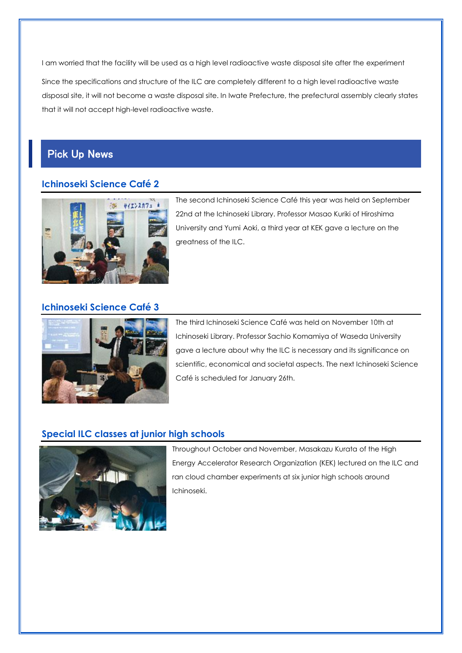I am worried that the facility will be used as a high level radioactive waste disposal site after the experiment

Since the specifications and structure of the ILC are completely different to a high level radioactive waste disposal site, it will not become a waste disposal site. In Iwate Prefecture, the prefectural assembly clearly states that it will not accept high-level radioactive waste.

# Pick Up News

## **Ichinoseki Science Café 2**



The second Ichinoseki Science Café this year was held on September 22nd at the Ichinoseki Library. Professor Masao Kuriki of Hiroshima University and Yumi Aoki, a third year at KEK gave a lecture on the greatness of the ILC.

#### **Ichinoseki Science Café 3**



The third Ichinoseki Science Café was held on November 10th at Ichinoseki Library. Professor Sachio Komamiya of Waseda University gave a lecture about why the ILC is necessary and its significance on scientific, economical and societal aspects. The next Ichinoseki Science Café is scheduled for January 26th.

## **Special ILC classes at junior high schools**



Throughout October and November, Masakazu Kurata of the High Energy Accelerator Research Organization (KEK) lectured on the ILC and ran cloud chamber experiments at six junior high schools around Ichinoseki.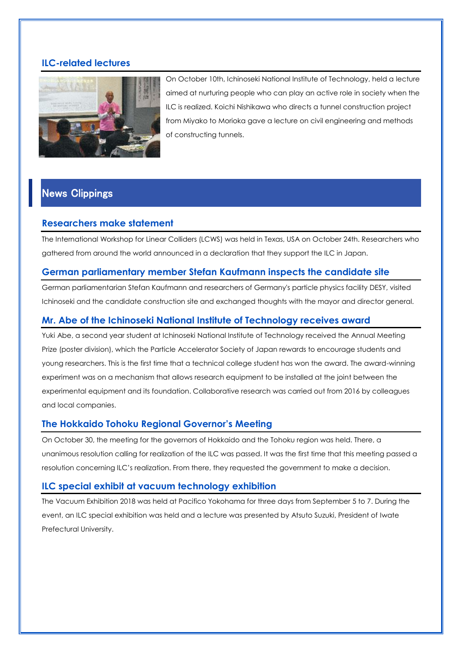#### **ILC-related lectures**



On October 10th, Ichinoseki National Institute of Technology, held a lecture aimed at nurturing people who can play an active role in society when the ILC is realized. Koichi Nishikawa who directs a tunnel construction project from Miyako to Morioka gave a lecture on civil engineering and methods of constructing tunnels.

# News Clippings

#### **Researchers make statement**

The International Workshop for Linear Colliders (LCWS) was held in Texas, USA on October 24th. Researchers who gathered from around the world announced in a declaration that they support the ILC in Japan.

#### **German parliamentary member Stefan Kaufmann inspects the candidate site**

German parliamentarian Stefan Kaufmann and researchers of Germany's particle physics facility DESY, visited Ichinoseki and the candidate construction site and exchanged thoughts with the mayor and director general.

## **Mr. Abe of the Ichinoseki National Institute of Technology receives award**

Yuki Abe, a second year student at Ichinoseki National Institute of Technology received the Annual Meeting Prize (poster division), which the Particle Accelerator Society of Japan rewards to encourage students and young researchers. This is the first time that a technical college student has won the award. The award-winning experiment was on a mechanism that allows research equipment to be installed at the joint between the experimental equipment and its foundation. Collaborative research was carried out from 2016 by colleagues and local companies.

## **The Hokkaido Tohoku Regional Governor's Meeting**

On October 30, the meeting for the governors of Hokkaido and the Tohoku region was held. There, a unanimous resolution calling for realization of the ILC was passed. It was the first time that this meeting passed a resolution concerning ILC's realization. From there, they requested the government to make a decision.

#### **ILC special exhibit at vacuum technology exhibition**

The Vacuum Exhibition 2018 was held at Pacifico Yokohama for three days from September 5 to 7. During the event, an ILC special exhibition was held and a lecture was presented by Atsuto Suzuki, President of Iwate Prefectural University.